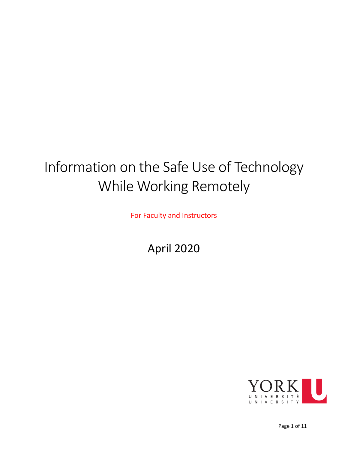# Information on the Safe Use of Technology While Working Remotely

For Faculty and Instructors

<span id="page-0-0"></span>April 2020

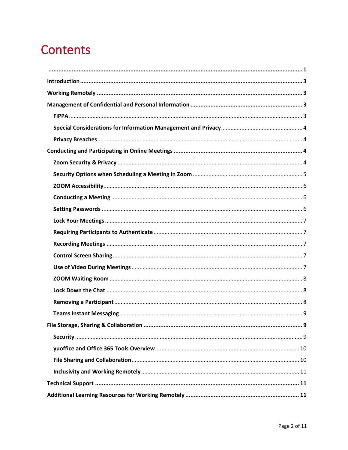## **Contents**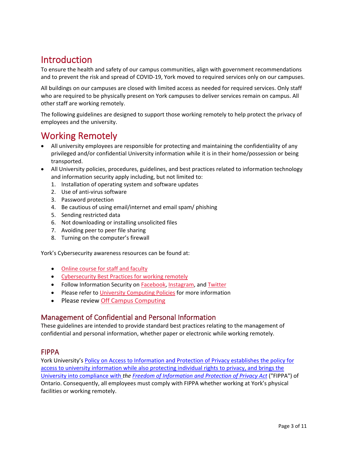## <span id="page-2-0"></span>Introduction

To ensure the health and safety of our campus communities, align with government recommendations and to prevent the risk and spread of COVID-19, York moved to required services only on our campuses.

All buildings on our campuses are closed with limited access as needed for required services. Only staff who are required to be physically present on York campuses to deliver services remain on campus. All other staff are working remotely.

The following guidelines are designed to support those working remotely to help protect the privacy of employees and the university.

## <span id="page-2-1"></span>Working Remotely

- All university employees are responsible for protecting and maintaining the confidentiality of any privileged and/or confidential University information while it is in their home/possession or being transported.
- All University policies, procedures, guidelines, and best practices related to information technology and information security apply including, but not limited to:
	- 1. Installation of operating system and software updates
	- 2. Use of anti-virus software
	- 3. Password protection
	- 4. Be cautious of using email/internet and email spam/ phishing
	- 5. Sending restricted data
	- 6. Not downloading or installing unsolicited files
	- 7. Avoiding peer to peer file sharing
	- 8. Turning on the computer's firewall

York's Cybersecurity awareness resources can be found at:

- Online course [for staff and faculty](https://moodle.yorku.ca/moodle/course/view.php?id=101093)
- [Cybersecurity Best Practices](https://infosec.yorku.ca/cybersecurity-best-practices-for-working-remotely/) for working remotely
- Follow Information Security on [Facebook,](https://www.facebook.com/yorku.infosec) [Instagram,](https://instagram.com/yorku_infosec) and [Twitter](https://twitter.com/Yorku_infosec)
- Please refer t[o University Computing](http://staff.computing.yorku.ca/computing-policies) Policies for more information
- Please review [Off Campus Computing](http://computing.yorku.ca/offcampus/)

#### <span id="page-2-2"></span>Management of Confidential and Personal Information

These guidelines are intended to provide standard best practices relating to the management of confidential and personal information, whether paper or electronic while working remotely.

#### <span id="page-2-3"></span>FIPPA

York University's [Policy on Access to Information and Protection of Privacy](https://secretariat-policies.info.yorku.ca/policies/access-to-information-and-protection-of-privacy-policy-on/) establishes the policy for access to university information while also protecting individual rights to privacy, and brings the University into compliance with *the [Freedom of Information and Protection of Privacy Act](https://www.ontario.ca/laws/statute/90f31)* ("FIPPA") of Ontario. Consequently, all employees must comply with FIPPA whether working at York's physical facilities or working remotely.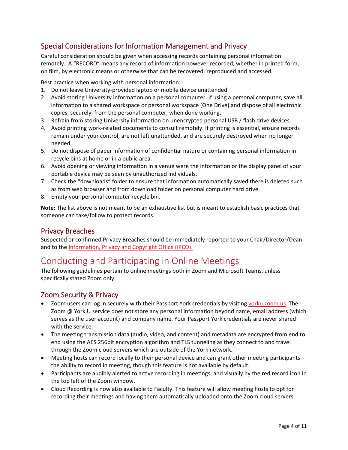#### <span id="page-3-0"></span>Special Considerations for Information Management and Privacy

Careful consideration should be given when accessing records containing personal information remotely. A "RECORD" means any record of information however recorded, whether in printed form, on film, by electronic means or otherwise that can be recovered, reproduced and accessed.

Best practice when working with personal information:

- 1. Do not leave University-provided laptop or mobile device unatended.
- 2. Avoid storing University information on a personal computer. If using a personal computer, save all information to a shared workspace or personal workspace (One Drive) and dispose of all electronic copies, securely, from the personal computer, when done working.
- 3. Refrain from storing University information on unencrypted personal USB / flash drive devices.
- 4. Avoid printing work-related documents to consult remotely. If printing is essential, ensure records remain under your control, are not left unattended, and are securely destroyed when no longer needed.
- 5. Do not dispose of paper information of confidential nature or containing personal information in recycle bins at home or in a public area.
- 6. Avoid opening or viewing information in a venue were the information or the display panel of your portable device may be seen by unauthorized individuals.
- 7. Check the "downloads" folder to ensure that information automatically saved there is deleted such as from web browser and from download folder on personal computer hard drive.
- 8. Empty your personal computer recycle bin.

**Note:** The list above is not meant to be an exhaustive list but is meant to establish basic practices that someone can take/follow to protect records.

#### <span id="page-3-1"></span>Privacy Breaches

Suspected or confirmed Privacy Breaches should be immediately reported to your Chair/Director/Dean and to th[e Information, Privacy and Copyright Office \(IPCO\).](https://ipo.info.yorku.ca/)

### <span id="page-3-2"></span>Conducting and Participating in Online Meetings

The following guidelines pertain to online meetings both in Zoom and Microsoft Teams, unless specifically stated Zoom only.

#### <span id="page-3-3"></span>Zoom Security & Privacy

- Zoom users can log in securely with their Passport York credentials by visiting vorku.zoom.us. The Zoom @ York U service does not store any personal information beyond name, email address (which serves as the user account) and company name. Your Passport York credentials are never shared with the service.
- The meeting transmission data (audio, video, and content) and metadata are encrypted from end to end using the AES 256bit encryption algorithm and TLS tunneling as they connect to and travel through the Zoom cloud servers which are outside of the York network.
- Meeting hosts can record locally to their personal device and can grant other meeting participants the ability to record in meeting, though this feature is not available by default.
- Participants are audibly alerted to active recording in meetings, and visually by the red record icon in the top left of the Zoom window.
- Cloud Recording is now also available to Faculty. This feature will allow meeting hosts to opt for recording their meetings and having them automatically uploaded onto the Zoom cloud servers.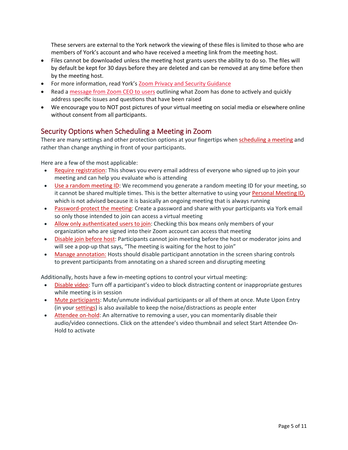These servers are external to the York network the viewing of these files is limited to those who are members of York's account and who have received a meeting link from the meeting host.

- Files cannot be downloaded unless the meeting host grants users the ability to do so. The files will by default be kept for 30 days before they are deleted and can be removed at any time before then by the meeting host.
- For more information, read York's **[Zoom Privacy and Security Guidance](https://infosec.yorku.ca/2020/03/zoom-privacy-and-security-guidance/)**
- Read a [message from Zoom CEO to users](https://blog.zoom.us/wordpress/2020/04/01/a-message-to-our-users/) outlining what Zoom has done to actively and quickly address specific issues and questions that have been raised
- We encourage you to NOT post pictures of your virtual meeting on social media or elsewhere online without consent from all participants.

#### <span id="page-4-0"></span>Security Options when Scheduling a Meeting in Zoom

There are many settings and other protection options at your fingertips when [scheduling](https://support.zoom.us/hc/en-us/articles/201362413-Scheduling-meetings?zcid=1231) a meeting and rather than change anything in front of your participants.

Here are a few of the most applicable:

- Require [registration:](https://support.zoom.us/hc/en-us/articles/211579443-Registration-for-Meetings?zcid=1231) This shows you every email address of everyone who signed up to join your meeting and can help you evaluate who is attending
- Use a random [meeting](https://support.zoom.us/hc/en-us/articles/201362413-Scheduling-meetings?zcid=1231) ID: We recommend you generate a random meeting ID for your meeting, so it cannot be shared multiple times. This is the better alternative to using your [Personal Meeting ID,](https://support.zoom.us/hc/en-us/articles/201362843?zcid=1231) which is not advised because it is basically an ongoing meeting that is always running
- [Password-protect](https://support.zoom.us/hc/en-us/articles/360033559832-Meeting-and-Webinar-Passwords-#h_530762f7-e34a-4c55-a929-f16c5386d7be?zcid=1231) the meeting: Create a password and share with your participants via York email so only those intended to join can access a virtual meeting
- Allow only [authenticated](https://support.zoom.us/hc/en-us/articles/360037117472-Authentication-Profiles-for-Meetings-and-Webinars?zcid=1231) users to join: Checking this box means only members of your organization who are signed into their Zoom account can access that meeting
- [Disable](https://support.zoom.us/hc/en-us/articles/202828525-Join-Before-Host?zcid=1231) join before host: Participants cannot join meeting before the host or moderator joins and will see a pop-up that says, "The meeting is waiting for the host to join"
- [Manage annotation:](https://support.zoom.us/hc/en-us/articles/115005706806?zcid=1231) Hosts should disable participant annotation in the screen sharing controls to prevent participants from annotating on a shared screen and disrupting meeting

Additionally, hosts have a few in-meeting options to control your virtual meeting:

- [Disable video:](https://support.zoom.us/hc/en-us/articles/115005759423?zcid=1231) Turn off a participant's video to block distracting content or inappropriate gestures while meeting is in session
- [Mute participants:](https://support.zoom.us/hc/en-us/articles/203435537-Mute-All-And-Unmute-All?zcid=1231&_ga=2.229640476.1828460277.1584289344-827731685.1566335579) Mute/unmute individual participants or all of them at once. Mute Upon Entry (in your [settings\)](https://zoom.us/profile/setting?zcid=1231) is also available to keep the noise/distractions as people enter
- [Attendee on-hold:](https://support.zoom.us/hc/en-us/articles/201362813-Attendee-On-Hold?zcid=1231) An alternative to removing a user, you can momentarily disable their audio/video connections. Click on the attendee's video thumbnail and select Start Attendee On-Hold to activate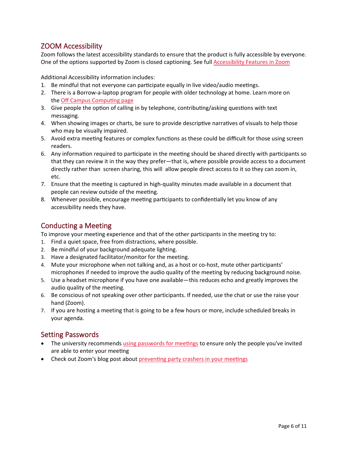#### <span id="page-5-0"></span>ZOOM Accessibility

Zoom follows the latest accessibility standards to ensure that the product is fully accessible by everyone. One of the options supported by Zoom is closed captioning. See full [Accessibility Features in Zoom](https://zoom.us/accessibility)

Additional Accessibility information includes:

- 1. Be mindful that not everyone can participate equally in live video/audio meetings.
- 2. There is a Borrow-a-laptop program for people with older technology at home. Learn more on the Off Campus Computing page
- 3. Give people the option of calling in by telephone, contributing/asking questions with text messaging.
- 4. When showing images or charts, be sure to provide descriptive narratives of visuals to help those who may be visually impaired.
- 5. Avoid extra meeting features or complex functions as these could be difficult for those using screen readers.
- 6. Any information required to participate in the meeting should be shared directly with participants so that they can review it in the way they prefer—that is, where possible provide access to a document directly rather than screen sharing, this will allow people direct access to it so they can zoom in, etc.
- 7. Ensure that the meeting is captured in high-quality minutes made available in a document that people can review outside of the meeting.
- 8. Whenever possible, encourage meeting participants to confidentially let you know of any accessibility needs they have.

#### <span id="page-5-1"></span>Conducting a Meeting

To improve your meeting experience and that of the other participants in the meeting try to:

- 1. Find a quiet space, free from distractions, where possible.
- 2. Be mindful of your background adequate lighting.
- 3. Have a designated facilitator/monitor for the meeting.
- 4. Mute your microphone when not talking and, as a host or co-host, mute other participants' microphones if needed to improve the audio quality of the meeting by reducing background noise.
- 5. Use a headset microphone if you have one available—this reduces echo and greatly improves the audio quality of the meeting.
- 6. Be conscious of not speaking over other participants. If needed, use the chat or use the raise your hand (Zoom).
- 7. If you are hosting a meeting that is going to be a few hours or more, include scheduled breaks in your agenda.

#### <span id="page-5-2"></span>Setting Passwords

- The university recommends using passwords for meetings to ensure only the people you've invited are able to enter your meeting
- Check out Zoom's blog post about preventing party crashers in your meetings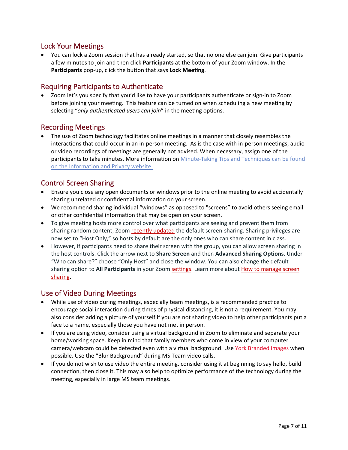#### <span id="page-6-0"></span>Lock Your Meetings

• You can lock a Zoom session that has already started, so that no one else can join. Give par�cipants a few minutes to join and then click **Par�cipants** at the botom of your Zoom window. In the Participants pop-up, click the button that says Lock Meeting.

#### <span id="page-6-1"></span>Requiring Participants to Authenticate

Zoom let's you specify that you'd like to have your participants authenticate or sign-in to Zoom before joining your meeting. This feature can be turned on when scheduling a new meeting by selecting "*only authenticated users can join*" in the meeting options.

#### <span id="page-6-2"></span>Recording Meetings

• The use of Zoom technology facilitates online meetings in a manner that closely resembles the interactions that could occur in an in-person meeting. As is the case with in-person meetings, audio or video recordings of meetings are generally not advised. When necessary, assign one of the participants to take minutes. More information o[n Minute-Taking Tips and Techniques](https://ipo.info.yorku.ca/tool-and-tips/tip-sheet-12-minute-taking-tips-and-techniques/) can be found on the [Information and Privacy](https://ipo.info.yorku.ca/) website.

#### <span id="page-6-3"></span>Control Screen Sharing

- Ensure you close any open documents or windows prior to the online meeting to avoid accidentally sharing unrelated or confidential information on your screen.
- We recommend sharing individual "windows" as opposed to "screens" to avoid others seeing email or other confidential information that may be open on your screen.
- To give meeting hosts more control over what participants are seeing and prevent them from sharing random content, Zoom recently [updated](https://support.zoom.us/hc/en-us/articles/360041591671?zcid=1231) the default screen-sharing. Sharing privileges are now set to "Host Only," so hosts by default are the only ones who can share content in class.
- However, if participants need to share their screen with the group, you can allow screen sharing in the host controls. Click the arrow next to **Share Screen** and then **Advanced Sharing Op�ons**. Under "Who can share?" choose "Only Host" and close the window. You can also change the default sharing option to All Participants in your Zoom settings. Learn more about How to [manage](https://support.zoom.us/hc/en-us/articles/115005759423?zcid=1231) screen [sharing.](https://support.zoom.us/hc/en-us/articles/115005759423?zcid=1231)

#### <span id="page-6-4"></span>Use of Video During Meetings

- While use of video during meetings, especially team meetings, is a recommended practice to encourage social interaction during times of physical distancing, it is not a requirement. You may also consider adding a picture of yourself if you are not sharing video to help other participants put a face to a name, especially those you have not met in person.
- If you are using video, consider using a virtual background in Zoom to eliminate and separate your home/working space. Keep in mind that family members who come in view of your computer camera/webcam could be detected even with a virtual background. Use [York Branded images](https://www.dropbox.com/sh/twewiddt4tviz9x/AADyjLc8Uwp6nBxNBwzwVLJPa?dl=0) when possible. Use the "Blur Background" during MS Team video calls.
- If you do not wish to use video the entire meeting, consider using it at beginning to say hello, build connection, then close it. This may also help to optimize performance of the technology during the meeting, especially in large MS team meetings.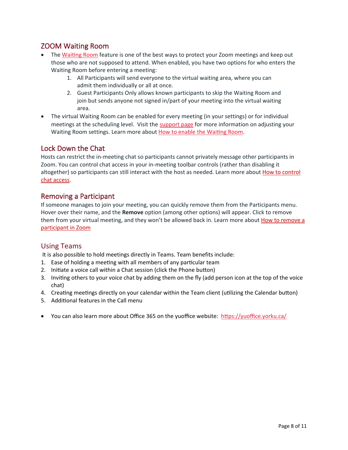#### <span id="page-7-0"></span>ZOOM Waiting Room

- The Waiting Room feature is one of the best ways to protect your Zoom meetings and keep out those who are not supposed to attend. When enabled, you have two options for who enters the Waiting Room before entering a meeting:
	- 1. All Participants will send everyone to the virtual waiting area, where you can admit them individually or all at once.
	- 2. Guest Participants Only allows known participants to skip the Waiting Room and join but sends anyone not signed in/part of your meeting into the virtual waiting area.
- The virtual Waiting Room can be enabled for every meeting (in your settings) or for individual meetings at the scheduling level. Visit the [support page](https://support.zoom.us/hc/en-us/articles/115000332726-Waiting-Room?zcid=1231) for more information on adjusting your Waiting Room settings. Learn more about How to enable the Waiting Room.

#### <span id="page-7-1"></span>Lock Down the Chat

Hosts can restrict the in-meeting chat so participants cannot privately message other participants in Zoom. You can control chat access in your in-meeting toolbar controls (rather than disabling it altogether) so participants can still interact with the host as needed. Learn more about How to [control](https://support.zoom.us/hc/en-us/articles/115004809306-Controlling-and-Disabling-In-Meeting-Chat?zcid=1231) chat [access.](https://support.zoom.us/hc/en-us/articles/115004809306-Controlling-and-Disabling-In-Meeting-Chat?zcid=1231)

#### <span id="page-7-2"></span>Removing a Participant

If someone manages to join your meeting, you can quickly remove them from the Participants menu. Hover over their name, and the **Remove** option (among other options) will appear. Click to remove them from your virtual meeting, and they won't be allowed back in. Learn more about How to [remove](https://support.zoom.us/hc/en-us/articles/115005759423-Managing-participants-in-a-meeting?zcid=1231) a [participant](https://support.zoom.us/hc/en-us/articles/115005759423-Managing-participants-in-a-meeting?zcid=1231) in Zoom

#### Using Teams

It is also possible to hold meetings directly in Teams. Team benefits include:

- 1. Ease of holding a meeting with all members of any particular team
- 2. Initiate a voice call within a Chat session (click the Phone button)
- 3. Inviting others to your voice chat by adding them on the fly (add person icon at the top of the voice chat)
- 4. Creating meetings directly on your calendar within the Team client (utilizing the Calendar button)
- 5. Additional features in the Call menu
- You can also learn more about Office 365 on the yuoffice website: https://yuoffice.yorku.ca/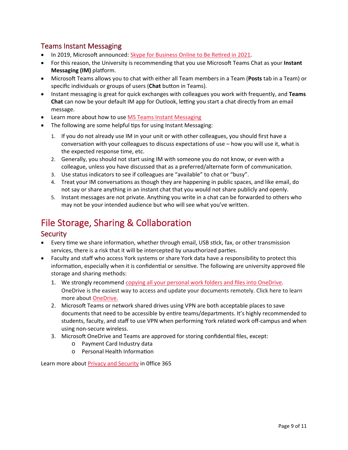#### <span id="page-8-0"></span>Teams Instant Messaging

- In 2019, Microsoft announced: Skype for Business Online to Be Retired in 2021.
- For this reason, the University is recommending that you use Microsoft Teams Chat as your **Instant Messaging (IM)** platform.
- Microso� Teams allows you to chat with either all Team members in a Team (**Posts** tab in a Team) or specific individuals or groups of users (**Chat** buton in Teams).
- Instant messaging is great for quick exchanges with colleagues you work with frequently, and **Teams**  Chat can now be your default IM app for Outlook, letting you start a chat directly from an email message.
- Learn more about how to us[e MS Teams Instant Messaging](https://www.youtube.com/watch?v=8gs8_ndAGmI&feature=youtu.be)
- The following are some helpful tips for using Instant Messaging:
	- 1. If you do not already use IM in your unit or with other colleagues, you should first have a conversation with your colleagues to discuss expectations of use – how you will use it, what is the expected response time, etc.
	- 2. Generally, you should not start using IM with someone you do not know, or even with a colleague, unless you have discussed that as a preferred/alternate form of communication.
	- 3. Use status indicators to see if colleagues are "available" to chat or "busy".
	- 4. Treat your IM conversations as though they are happening in public spaces, and like email, do not say or share anything in an instant chat that you would not share publicly and openly.
	- 5. Instant messages are not private. Anything you write in a chat can be forwarded to others who may not be your intended audience but who will see what you've written.

## <span id="page-8-1"></span>File Storage, Sharing & Collaboration

#### <span id="page-8-2"></span>**Security**

- Every time we share information, whether through email, USB stick, fax, or other transmission services, there is a risk that it will be intercepted by unauthorized parties.
- Faculty and staff who access York systems or share York data have a responsibility to protect this information, especially when it is confidential or sensitive. The following are university approved file storage and sharing methods:
	- 1. We strongly recommend [copying all your personal work folders and files into OneDrive](https://support.office.com/en-us/article/upload-and-save-files-and-folders-to-onedrive-for-business-a1397e56-61ec-4ed2-9dac-727bf8ac3357). OneDrive is the easiest way to access and update your documents remotely. Click here to learn more about [OneDrive.](https://yuoffice.info.yorku.ca/onedrive/)
	- 2. Microsoft Teams or network shared drives using VPN are both acceptable places to save documents that need to be accessible by en�re teams/departments. It's highly recommended to students, faculty, and staff to use VPN when performing York related work off-campus and when using non-secure wireless.
	- 3. Microsoft OneDrive and Teams are approved for storing confidential files, except:
		- o Payment Card Industry data
		- o Personal Health Information

Learn more abou[t Privacy and Security](https://yuoffice.yorku.ca/privacy-security/) in 0ffice 365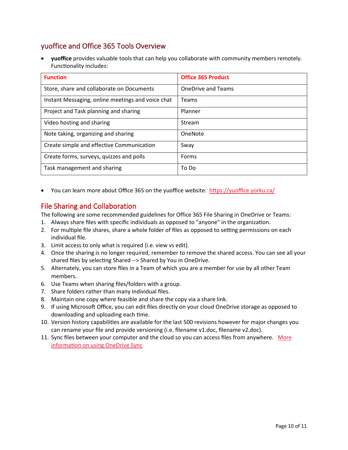#### <span id="page-9-0"></span>yuoffice and Office 365 Tools Overview

• **yuoffice** provides valuable tools that can help you collaborate with community members remotely. Functionality includes:

| <b>Function</b>                                   | <b>Office 365 Product</b> |
|---------------------------------------------------|---------------------------|
| Store, share and collaborate on Documents         | <b>OneDrive and Teams</b> |
| Instant Messaging, online meetings and voice chat | <b>Teams</b>              |
| Project and Task planning and sharing             | Planner                   |
| Video hosting and sharing                         | Stream                    |
| Note taking, organizing and sharing               | OneNote                   |
| Create simple and effective Communication         | Sway                      |
| Create forms, surveys, quizzes and polls          | Forms                     |
| Task management and sharing                       | To Do                     |

• You can learn more about Office 365 on the yuoffice website: https://yuoffice.yorku.ca/

#### <span id="page-9-1"></span>File Sharing and Collaboration

The following are some recommended guidelines for Office 365 File Sharing in OneDrive or Teams:

- 1. Always share files with specific individuals as opposed to "anyone" in the organization.
- 2. For multiple file shares, share a whole folder of files as opposed to setting permissions on each individual file.
- 3. Limit access to only what is required (i.e. view vs edit).
- 4. Once the sharing is no longer required, remember to remove the shared access. You can see all your shared files by selecting Shared --> Shared by You in OneDrive.
- 5. Alternately, you can store files in a Team of which you are a member for use by all other Team members.
- 6. Use Teams when sharing files/folders with a group.
- 7. Share folders rather than many individual files.
- 8. Maintain one copy where feasible and share the copy via a share link.
- 9. If using Microsoft Office, you can edit files directly on your cloud OneDrive storage as opposed to downloading and uploading each time.
- 10. Version history capabilities are available for the last 500 revisions however for major changes you can rename your file and provide versioning (i.e. filename v1.doc, filename v2.doc).
- 11. Sync files between your computer and the cloud so you can access files from anywhere. [More](https://support.office.com/en-us/article/sync-files-with-onedrive-in-windows-615391c4-2bd3-4aae-a42a-858262e42a49) information on [using OneDrive Sync](https://support.office.com/en-us/article/sync-files-with-onedrive-in-windows-615391c4-2bd3-4aae-a42a-858262e42a49)